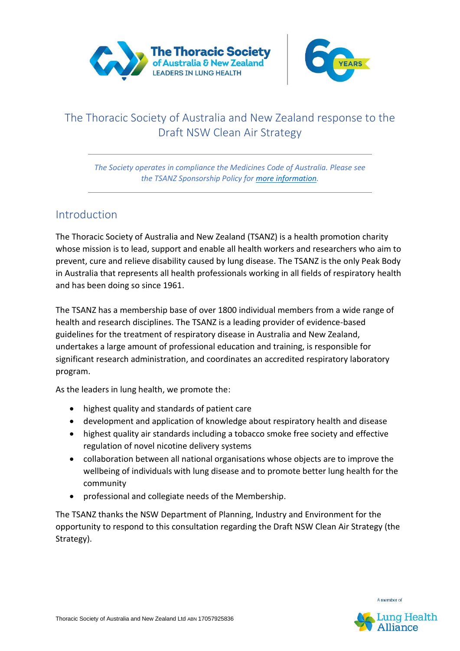



# The Thoracic Society of Australia and New Zealand response to the Draft NSW Clean Air Strategy

*The Society operates in compliance the Medicines Code of Australia. Please see the TSANZ Sponsorship Policy for [more information.](https://www.thoracic.org.au/documents/item/1670)*

## **Introduction**

The Thoracic Society of Australia and New Zealand (TSANZ) is a health promotion charity whose mission is to lead, support and enable all health workers and researchers who aim to prevent, cure and relieve disability caused by lung disease. The TSANZ is the only Peak Body in Australia that represents all health professionals working in all fields of respiratory health and has been doing so since 1961.

The TSANZ has a membership base of over 1800 individual members from a wide range of health and research disciplines. The TSANZ is a leading provider of evidence-based guidelines for the treatment of respiratory disease in Australia and New Zealand, undertakes a large amount of professional education and training, is responsible for significant research administration, and coordinates an accredited respiratory laboratory program.

As the leaders in lung health, we promote the:

- highest quality and standards of patient care
- development and application of knowledge about respiratory health and disease
- highest quality air standards including a tobacco smoke free society and effective regulation of novel nicotine delivery systems
- collaboration between all national organisations whose objects are to improve the wellbeing of individuals with lung disease and to promote better lung health for the community
- professional and collegiate needs of the Membership.

The TSANZ thanks the NSW Department of Planning, Industry and Environment for the opportunity to respond to this consultation regarding the Draft NSW Clean Air Strategy (the Strategy).



A member of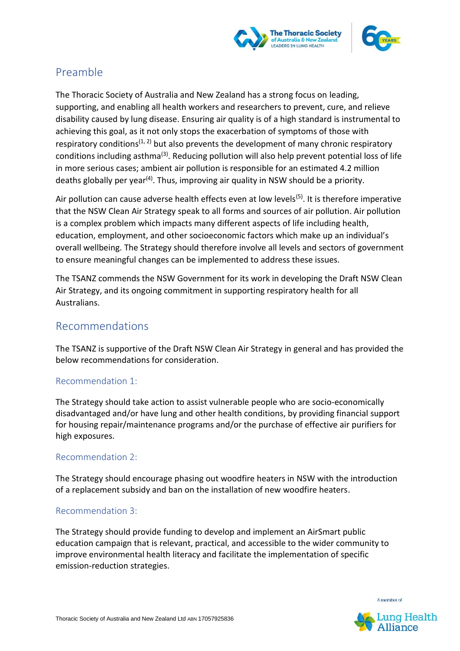



## Preamble

The Thoracic Society of Australia and New Zealand has a strong focus on leading, supporting, and enabling all health workers and researchers to prevent, cure, and relieve disability caused by lung disease. Ensuring air quality is of a high standard is instrumental to achieving this goal, as it not only stops the exacerbation of symptoms of those with respiratory conditions<sup> $(1, 2)$ </sup> but also prevents the development of many chronic respiratory conditions including asthma<sup>(3)</sup>. Reducing pollution will also help prevent potential loss of life in more serious cases; ambient air pollution is responsible for an estimated 4.2 million deaths globally per year<sup>(4)</sup>. Thus, improving air quality in NSW should be a priority.

Air pollution can cause adverse health effects even at low levels<sup>(5)</sup>. It is therefore imperative that the NSW Clean Air Strategy speak to all forms and sources of air pollution. Air pollution is a complex problem which impacts many different aspects of life including health, education, employment, and other socioeconomic factors which make up an individual's overall wellbeing. The Strategy should therefore involve all levels and sectors of government to ensure meaningful changes can be implemented to address these issues.

The TSANZ commends the NSW Government for its work in developing the Draft NSW Clean Air Strategy, and its ongoing commitment in supporting respiratory health for all Australians.

## Recommendations

The TSANZ is supportive of the Draft NSW Clean Air Strategy in general and has provided the below recommendations for consideration.

### Recommendation 1:

The Strategy should take action to assist vulnerable people who are socio-economically disadvantaged and/or have lung and other health conditions, by providing financial support for housing repair/maintenance programs and/or the purchase of effective air purifiers for high exposures.

### Recommendation 2:

The Strategy should encourage phasing out woodfire heaters in NSW with the introduction of a replacement subsidy and ban on the installation of new woodfire heaters.

### Recommendation 3:

The Strategy should provide funding to develop and implement an AirSmart public education campaign that is relevant, practical, and accessible to the wider community to improve environmental health literacy and facilitate the implementation of specific emission-reduction strategies.

A member of